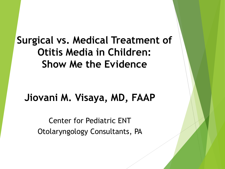**Surgical vs. Medical Treatment of Otitis Media in Children: Show Me the Evidence**

#### **Jiovani M. Visaya, MD, FAAP**

Center for Pediatric ENT Otolaryngology Consultants, PA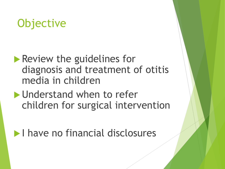## **Objective**

#### **Review the guidelines for** diagnosis and treatment of otitis media in children

- Understand when to refer children for surgical intervention
- **I have no financial disclosures**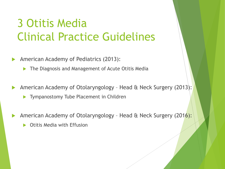## 3 Otitis Media Clinical Practice Guidelines

- American Academy of Pediatrics (2013):
	- **The Diagnosis and Management of Acute Otitis Media**
- American Academy of Otolaryngology Head & Neck Surgery (2013):
	- **Tympanostomy Tube Placement in Children**
- American Academy of Otolaryngology Head & Neck Surgery (2016):
	- Otitis Media with Effusion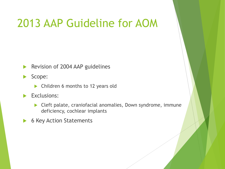## 2013 AAP Guideline for AOM

- Revision of 2004 AAP guidelines
- Scope:
	- ▶ Children 6 months to 12 years old
- Exclusions:
	- ▶ Cleft palate, craniofacial anomalies, Down syndrome, immune deficiency, cochlear implants
- ▶ 6 Key Action Statements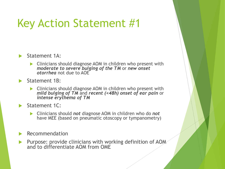# Key Action Statement #1



- Clinicians should diagnose AOM in children who present with *moderate to severe bulging of the TM* or *new onset otorrhea* not due to AOE
- Statement 1B:
	- Clinicians should diagnose AOM in children who present with *mild bulging of TM* and *recent (<48h) onset of ear pain* or *intense erythema of TM*
- Statement 1C:
	- Clinicians should *not* diagnose AOM in children who do *not* have MEE (based on pneumatic otoscopy or tympanometry)
- Recommendation
- Purpose: provide clinicians with working definition of AOM and to differentiate AOM from OME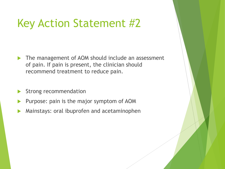## Key Action Statement #2

- The management of AOM should include an assessment of pain. If pain is present, the clinician should recommend treatment to reduce pain.
- Strong recommendation
- Purpose: pain is the major symptom of AOM
- Mainstays: oral ibuprofen and acetaminophen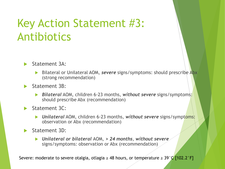## Key Action Statement #3: Antibiotics

#### Statement 3A:

- **Bilateral or Unilateral AOM, severe signs/symptoms: should prescribe Abx** (strong recommendation)
- Statement 3B:
	- *Bilateral* AOM, children 6-23 months, *without severe* signs/symptoms: should prescribe Abx (recommendation)
- Statement 3C:
	- *Unilateral* AOM, children 6-23 months, *without severe* signs/symptoms: observation or Abx (recommendation)
- Statement 3D:
	- *Unilateral or bilateral* AOM, *> 24 months*, *without severe*  signs/symptoms: observation or Abx (recommendation)

Severe: moderate to severe otalgia, otlagia  $\geq 48$  hours, or temperature  $\geq 39^{\circ}$ C [102.2°F]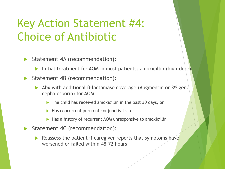## Key Action Statement #4: Choice of Antibiotic

- Statement 4A (recommendation):
	- Initial treatment for AOM in most patients: amoxicillin (high-dose)
- Statement 4B (recommendation):
	- Abx with additional β-lactamase coverage (Augmentin or 3rd gen. cephalosporin) for AOM:
		- The child has received amoxicillin in the past 30 days, or
		- $\blacktriangleright$  Has concurrent purulent conjunctivitis, or
		- $\blacktriangleright$  Has a history of recurrent AOM unresponsive to amoxicillin
- Statement 4C (recommendation):
	- Reassess the patient if caregiver reports that symptoms have worsened or failed within 48-72 hours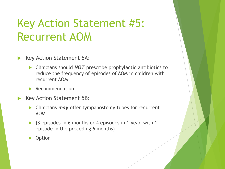## Key Action Statement #5: Recurrent AOM

- Key Action Statement 5A:
	- Clinicians should *NOT* prescribe prophylactic antibiotics to reduce the frequency of episodes of AOM in children with recurrent AOM
	- Recommendation
- Key Action Statement 5B:
	- **Clinicians** *may* offer tympanostomy tubes for recurrent AOM
	- $\triangleright$  (3 episodes in 6 months or 4 episodes in 1 year, with 1 episode in the preceding 6 months)
	- **Option**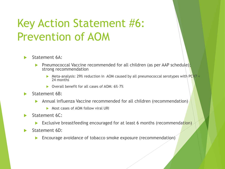# Key Action Statement #6: Prevention of AOM

#### Statement 6A:

- **Pheumococcal Vaccine recommended for all children (as per AAP schedule);** strong recommendation
	- ▶ Meta-analysis: 29% reduction in AOM caused by all pneumococcal serotypes with PCV7 < 24 months
	- ▶ Overall benefit for all cases of AOM: 6%-7%
- Statement 6B:
	- Annual influenza Vaccine recommended for all children (recommendation)
		- Most cases of AOM follow viral URI
- Statement 6C:
	- Exclusive breastfeeding encouraged for at least 6 months (recommendation)
- Statement 6D:
	- Encourage avoidance of tobacco smoke exposure (recommendation)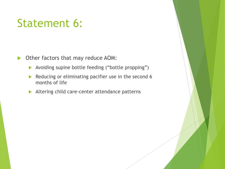## Statement 6:

▶ Other factors that may reduce AOM:

- Avoiding supine bottle feeding ("bottle propping")
- Reducing or eliminating pacifier use in the second 6 months of life
- Altering child care-center attendance patterns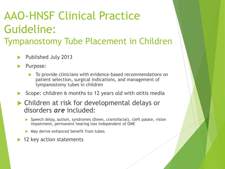## AAO-HNSF Clinical Practice Guideline: Tympanostomy Tube Placement in Children

- Published July 2013
- Purpose:
	- To provide clinicians with evidence-based recommendations on patient selection, surgical indications, and management of tympanostomy tubes in children
- Scope: children 6 months to 12 years old with otitis media
- Children at risk for developmental delays or disorders *are* included:
	- ▶ Speech delay, autism, syndromes (Down, craniofacial), cleft palate, vision impairment, permanent hearing loss independent of OME
	- May derive enhanced benefit from tubes
- 12 key action statements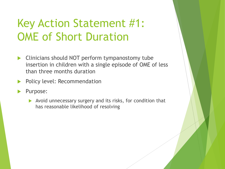# Key Action Statement #1: OME of Short Duration

- **EXA** Clinicians should NOT perform tympanostomy tube insertion in children with a single episode of OME of less than three months duration
- Policy level: Recommendation
- Purpose:
	- Avoid unnecessary surgery and its risks, for condition that has reasonable likelihood of resolving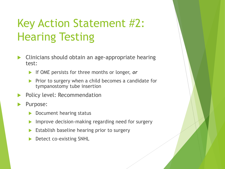# Key Action Statement #2: Hearing Testing

- Clinicians should obtain an age-appropriate hearing test:
	- If OME persists for three months or longer, *or*
	- Prior to surgery when a child becomes a candidate for tympanostomy tube insertion
- Policy level: Recommendation
- Purpose:
	- Document hearing status
	- **IMPROVE decision-making regarding need for surgery**
	- Establish baseline hearing prior to surgery
	- Detect co-existing SNHL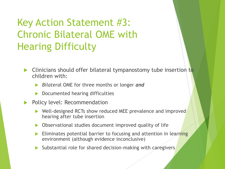### Key Action Statement #3: Chronic Bilateral OME with Hearing Difficulty

- Clinicians should offer bilateral tympanostomy tube insertion to children with:
	- *Bilatera*l OME for three months or longer *and*
	- Documented hearing difficulties
- Policy level: Recommendation
	- ▶ Well-designed RCTs show reduced MEE prevalence and improved hearing after tube insertion
	- Observational studies document improved quality of life
	- Eliminates potential barrier to focusing and attention in learning environment (although evidence inconclusive)
	- $\triangleright$  Substantial role for shared decision-making with caregivers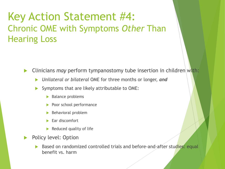#### Key Action Statement #4: Chronic OME with Symptoms *Other* Than Hearing Loss

Clinicians *may* perform tympanostomy tube insertion in children with:

- *Unilateral or bilateral* OME for three months or longer, *and*
- Symptoms that are likely attributable to OME:
	- $\blacktriangleright$  Balance problems
	- Poor school performance
	- Behavioral problem
	- Ear discomfort
	- $\blacktriangleright$  Reduced quality of life
- Policy level: Option
	- Based on randomized controlled trials and before-and-after studies: equal benefit vs. harm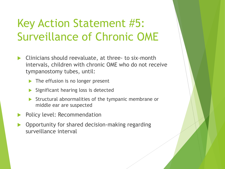## Key Action Statement #5: Surveillance of Chronic OME

- Clinicians should reevaluate, at three- to six-month intervals, children with chronic OME who do not receive tympanostomy tubes, until:
	- The effusion is no longer present
	- Significant hearing loss is detected
	- Structural abnormalities of the tympanic membrane or middle ear are suspected
- Policy level: Recommendation
- Opportunity for shared decision-making regarding surveillance interval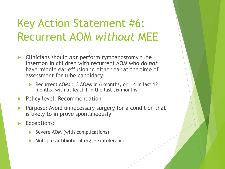## Key Action Statement #6: Recurrent AOM *without* MEE

- Clinicians should *not* perform tympanostomy tube insertion in children with recurrent AOM who do *not* have middle ear effusion in either ear at the time of assessment for tube candidacy
	- Recurrent AOM:  $\geq$  3 AOMs in 6 months, or  $\geq$  4 in last 12 months, with at least 1 in the last six months
- Policy level: Recommendation
- Purpose: Avoid unnecessary surgery for a condition that is likely to improve spontaneously
- Exceptions:
	- Severe AOM (with complications)
	- Multiple antibiotic allergies/intolerance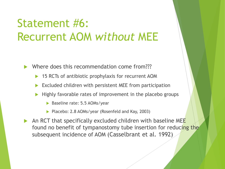## Statement #6: Recurrent AOM *without* MEE

Where does this recommendation come from???

- 15 RCTs of antibiotic prophylaxis for recurrent AOM
- Excluded children with persistent MEE from participation
- Highly favorable rates of improvement in the placebo groups
	- Baseline rate: 5.5 AOMs/year
	- ▶ Placebo: 2.8 AOMs/year (Rosenfeld and Kay, 2003)
- An RCT that specifically excluded children with baseline MEE found no benefit of tympanostomy tube insertion for reducing the subsequent incidence of AOM (Casselbrant et al. 1992)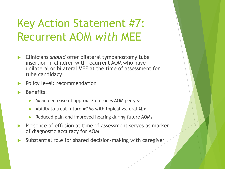# Key Action Statement #7: Recurrent AOM *with* MEE

- Clinicians *should* offer bilateral tympanostomy tube insertion in children with recurrent AOM who have unilateral or bilateral MEE at the time of assessment for tube candidacy
- Policy level: recommendation
- Benefits:
	- Mean decrease of approx. 3 episodes AOM per year
	- Ability to treat future AOMs with topical vs. oral Abx
	- Reduced pain and improved hearing during future AOMs
- Presence of effusion at time of assessment serves as marker of diagnostic accuracy for AOM
- Substantial role for shared decision-making with caregiver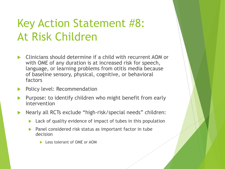# Key Action Statement #8: At Risk Children

- Clinicians should determine if a child with recurrent AOM or with OME of any duration is at increased risk for speech, language, or learning problems from otitis media because of baseline sensory, physical, cognitive, or behavioral factors
- Policy level: Recommendation
- Purpose: to identify children who might benefit from early intervention
- ▶ Nearly all RCTs exclude "high-risk/special needs" children:
	- **Lack of quality evidence of impact of tubes in this population**
	- Panel considered risk status as important factor in tube decision
		- **Less tolerant of OME or AOM**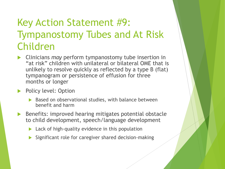### Key Action Statement #9: Tympanostomy Tubes and At Risk Children

- Clinicians *may* perform tympanostomy tube insertion in "at risk" children with unilateral or bilateral OME that is unlikely to resolve quickly as reflected by a type B (flat) tympanogram or persistence of effusion for three months or longer
- **Policy level: Option** 
	- $\triangleright$  Based on observational studies, with balance between benefit and harm
- Benefits: improved hearing mitigates potential obstacle to child development, speech/language development
	- $\blacktriangleright$  Lack of high-quality evidence in this population
	- Significant role for caregiver shared decision-making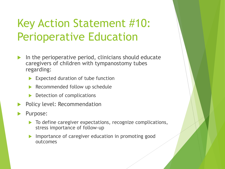# Key Action Statement #10: Perioperative Education

- In the perioperative period, clinicians should educate caregivers of children with tympanostomy tubes regarding:
	- Expected duration of tube function
	- Recommended follow up schedule
	- $\triangleright$  Detection of complications
- Policy level: Recommendation
- Purpose:
	- $\triangleright$  To define caregiver expectations, recognize complications, stress importance of follow-up
	- Importance of caregiver education in promoting good outcomes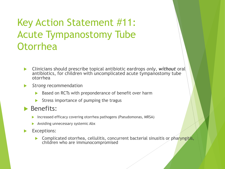### Key Action Statement #11: Acute Tympanostomy Tube **Otorrhea**

- Clinicians should prescribe topical antibiotic eardrops *only*, *without* oral antibiotics, for children with uncomplicated acute tympanostomy tube otorrhea
- *Strong* recommendation
	- Based on RCTs with preponderance of benefit over harm
	- Stress importance of pumping the tragus

#### **Benefits:**

- Increased efficacy covering otorrhea pathogens (Pseudomonas, MRSA)
- Avoiding unnecessary systemic Abx
- Exceptions:
	- **Complicated otorrhea, cellulitis, concurrent bacterial sinusitis or pharyngitis,** children who are immunocompromised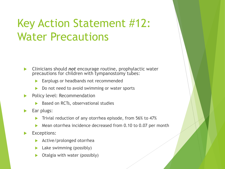## Key Action Statement #12: Water Precautions

 Clinicians should *not* encourage routine, prophylactic water precautions for children with tympanostomy tubes:

- Earplugs or headbands not recommended
- Do not need to avoid swimming or water sports
- Policy level: Recommendation
	- Based on RCTs, observational studies
- Ear plugs:
	- Trivial reduction of any otorrhea episode, from 56% to 47%
	- Mean otorrhea incidence decreased from 0.10 to 0.07 per month
- Exceptions:
	- Active/prolonged otorrhea
	- Lake swimming (possibly)
	- Otalgia with water (possibly)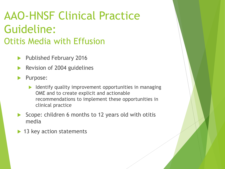## AAO-HNSF Clinical Practice Guideline: Otitis Media with Effusion

- ▶ Published February 2016
- Revision of 2004 guidelines
- Purpose:
	- $\blacktriangleright$  Identify quality improvement opportunities in managing OME and to create explicit and actionable recommendations to implement these opportunities in clinical practice
- Scope: children 6 months to 12 years old with otitis media
- ▶ 13 key action statements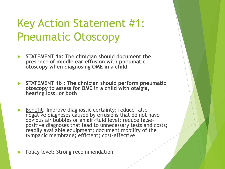## Key Action Statement #1: Pneumatic Otoscopy

- **STATEMENT 1a: The clinician should document the presence of middle ear effusion with pneumatic otoscopy when diagnosing OME in a child**
- **STATEMENT 1b : The clinician should perform pneumatic otoscopy to assess for OME in a child with otalgia, hearing loss, or both**
- Benefit: Improve diagnostic certainty; reduce falsenegative diagnoses caused by effusions that do not have obvious air bubbles or an air-fluid level; reduce falsepositive diagnoses that lead to unnecessary tests and costs; readily available equipment; document mobility of the tympanic membrane; efficient; cost-effective

Policy level: Strong recommendation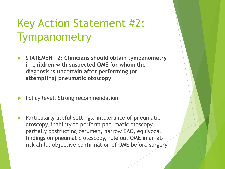# Key Action Statement #2: Tympanometry

- **STATEMENT 2: Clinicians should obtain tympanometry in children with suspected OME for whom the diagnosis is uncertain after performing (or attempting) pneumatic otoscopy**
- Policy level: Strong recommendation
- Particularly useful settings: intolerance of pneumatic otoscopy, inability to perform pneumatic otoscopy, partially obstructing cerumen, narrow EAC, equivocal findings on pneumatic otoscopy, rule out OME in an atrisk child, objective confirmation of OME before surgery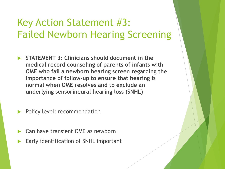#### Key Action Statement #3: Failed Newborn Hearing Screening

- **STATEMENT 3: Clinicians should document in the medical record counseling of parents of infants with OME who fail a newborn hearing screen regarding the importance of follow-up to ensure that hearing is normal when OME resolves and to exclude an underlying sensorineural hearing loss (SNHL)**
- Policy level: recommendation
- Can have transient OME as newborn
- Early identification of SNHL important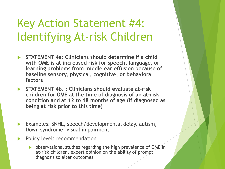## Key Action Statement #4: Identifying At-risk Children

- **STATEMENT 4a: Clinicians should determine if a child with OME is at increased risk for speech, language, or learning problems from middle ear effusion because of baseline sensory, physical, cognitive, or behavioral factors**
- **STATEMENT 4b. : Clinicians should evaluate at-risk children for OME at the time of diagnosis of an at-risk condition and at 12 to 18 months of age (if diagnosed as being at risk prior to this time)**
- Examples: SNHL, speech/developmental delay, autism, Down syndrome, visual impairment
- Policy level: recommendation
	- **b** observational studies regarding the high prevalence of OME in at-risk children, expert opinion on the ability of prompt diagnosis to alter outcomes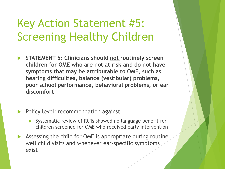# Key Action Statement #5: Screening Healthy Children

- **STATEMENT 5: Clinicians should not routinely screen children for OME who are not at risk and do not have symptoms that may be attributable to OME, such as hearing difficulties, balance (vestibular) problems, poor school performance, behavioral problems, or ear discomfort**
- Policy level: recommendation against
	- Systematic review of RCTs showed no language benefit for children screened for OME who received early intervention
- Assessing the child for OME is appropriate during routine well child visits and whenever ear-specific symptoms exist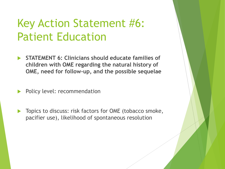## Key Action Statement #6: Patient Education

- **STATEMENT 6: Clinicians should educate families of children with OME regarding the natural history of OME, need for follow-up, and the possible sequelae**
- Policy level: recommendation
- Topics to discuss: risk factors for OME (tobacco smoke, pacifier use), likelihood of spontaneous resolution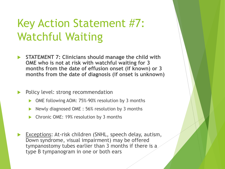# Key Action Statement #7: Watchful Waiting

- **STATEMENT 7: Clinicians should manage the child with OME who is not at risk with watchful waiting for 3 months from the date of effusion onset (if known) or 3 months from the date of diagnosis (if onset is unknown)**
- Policy level: strong recommendation
	- OME following AOM: 75%-90% resolution by 3 months
	- Newly diagnosed OME : 56% resolution by 3 months
	- Chronic OME: 19% resolution by 3 months
- Exceptions: At-risk children (SNHL, speech delay, autism, Down syndrome, visual impairment) may be offered tympanostomy tubes earlier than 3 months if there is a type B tympanogram in one or both ears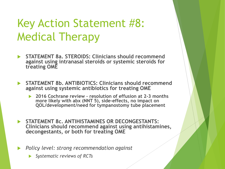# Key Action Statement #8: Medical Therapy

- **STATEMENT 8a. STEROIDS: Clinicians should recommend against using intranasal steroids or systemic steroids for treating OME**
- **STATEMENT 8b. ANTIBIOTICS: Clinicians should recommend against using systemic antibiotics for treating OME**
	- **2016 Cochrane review – resolution of effusion at 2-3 months more likely with abx (NNT 5), side-effects, no impact on QOL/development/need for tympanostomy tube placement**
- **STATEMENT 8c. ANTIHISTAMINES OR DECONGESTANTS: Clinicians should recommend against using antihistamines, decongestants, or both for treating OME**
- *Policy level: strong recommendation against* 
	- *Systematic reviews of RCTs*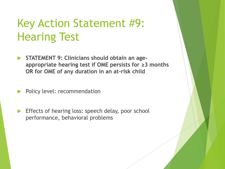## Key Action Statement #9: Hearing Test

- **STATEMENT 9: Clinicians should obtain an ageappropriate hearing test if OME persists for ≥3 months OR for OME of any duration in an at-risk child**
- Policy level: recommendation
- **Effects of hearing loss: speech delay, poor school** performance, behavioral problems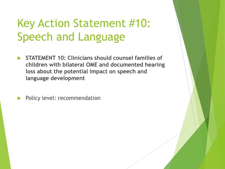# Key Action Statement #10: Speech and Language

 **STATEMENT 10: Clinicians should counsel families of children with bilateral OME and documented hearing loss about the potential impact on speech and language development**

Policy level: recommendation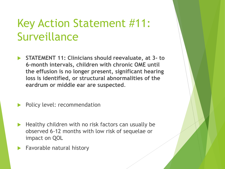## Key Action Statement #11: Surveillance

- **STATEMENT 11: Clinicians should reevaluate, at 3- to 6-month intervals, children with chronic OME until the effusion is no longer present, significant hearing loss is identified, or structural abnormalities of the eardrum or middle ear are suspected**.
- Policy level: recommendation
- Healthy children with no risk factors can usually be observed 6-12 months with low risk of sequelae or impact on QOL
- Favorable natural history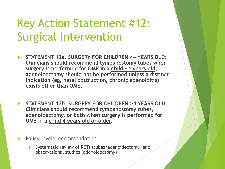## Key Action Statement #12: Surgical Intervention

- **STATEMENT 12a. SURGERY FOR CHILDREN <4 YEARS OLD: Clinicians should recommend tympanostomy tubes when surgery is performed for OME in a child <4 years old; adenoidectomy should not be performed unless a distinct indication (eg, nasal obstruction, chronic adenoiditis) exists other than OME.**
- **STATEMENT 12b. SURGERY FOR CHILDREN ≥4 YEARS OLD: Clinicians should recommend tympanostomy tubes, adenoidectomy, or both when surgery is performed for OME in a child 4 years old or older.**
- Policy level: recommendation
	- Systematic review of RCTs (tubes/adenoidectomy) and observational studies (adenoidectomy)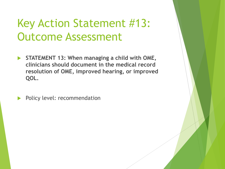## Key Action Statement #13: Outcome Assessment

 **STATEMENT 13: When managing a child with OME, clinicians should document in the medical record resolution of OME, improved hearing, or improved QOL.**

Policy level: recommendation